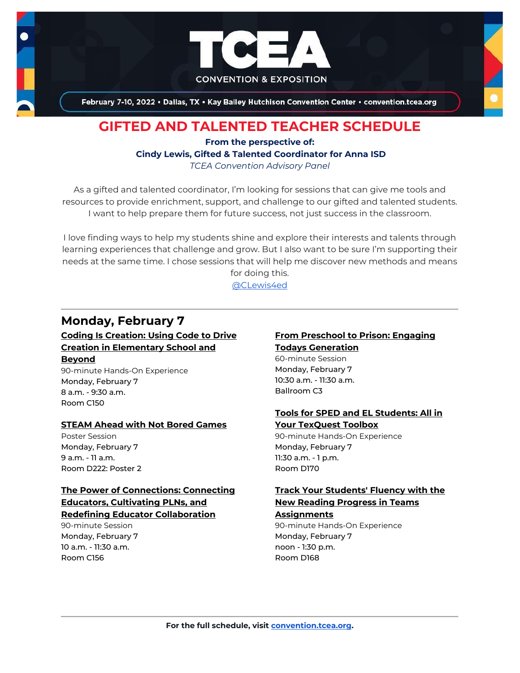

February 7-10, 2022 . Dallas, TX . Kay Bailey Hutchison Convention Center . convention.tcea.org

# **GIFTED AND TALENTED TEACHER SCHEDULE**

### **From the perspective of: Cindy Lewis, Gifted & Talented Coordinator for Anna ISD** *TCEA Convention Advisory Panel*

As a gifted and talented coordinator, I'm looking for sessions that can give me tools and resources to provide enrichment, support, and challenge to our gifted and talented students. I want to help prepare them for future success, not just success in the classroom.

I love finding ways to help my students shine and explore their interests and talents through learning experiences that challenge and grow. But I also want to be sure I'm supporting their needs at the same time. I chose sessions that will help me discover new methods and means for doing this.

[@CLewis4ed](https://twitter.com/CLewis4ed)

## **Monday, February 7**

**[Coding Is Creation: Using Code to Drive](https://register.tcea.org/2022/session_list.cfm?session_key=02339ADB-F04D-A206-2B64-04E5B0E685F1&session_date=Monday,%20Feb%2007,%202022)  [Creation in Elementary School and](https://register.tcea.org/2022/session_list.cfm?session_key=02339ADB-F04D-A206-2B64-04E5B0E685F1&session_date=Monday,%20Feb%2007,%202022)  [Beyond](https://register.tcea.org/2022/session_list.cfm?session_key=02339ADB-F04D-A206-2B64-04E5B0E685F1&session_date=Monday,%20Feb%2007,%202022)**

90-minute Hands-On Experience Monday, February 7 8 a.m. - 9:30 a.m. Room C150

### **[STEAM Ahead with Not Bored Games](https://register.tcea.org/2022/session_list.cfm?session_key=02411E35-F04D-A206-2B64-5E18BBEE661C&session_date=Monday,%20Feb%2007,%202022)**

Poster Session Monday, February 7 9 a.m. - 11 a.m. Room D222: Poster 2

### **[The Power of Connections: Connecting](https://register.tcea.org/2022/session_list.cfm?session_key=023EB5C9-F04D-A206-2B64-16851E75870F&session_date=Monday,%20Feb%2007,%202022)  [Educators, Cultivating PLNs, and](https://register.tcea.org/2022/session_list.cfm?session_key=023EB5C9-F04D-A206-2B64-16851E75870F&session_date=Monday,%20Feb%2007,%202022)  [Redefining Educator Collaboration](https://register.tcea.org/2022/session_list.cfm?session_key=023EB5C9-F04D-A206-2B64-16851E75870F&session_date=Monday,%20Feb%2007,%202022)**

90-minute Session Monday, February 7 10 a.m. - 11:30 a.m. Room C156

## **[From Preschool to Prison: Engaging](https://register.tcea.org/2022/session_list.cfm?session_key=C435C900-F04D-A206-2B64-A794D88958AD&session_date=Monday,%20Feb%2007,%202022)**

**[Todays Generation](https://register.tcea.org/2022/session_list.cfm?session_key=C435C900-F04D-A206-2B64-A794D88958AD&session_date=Monday,%20Feb%2007,%202022)** 60-minute Session Monday, February 7 10:30 a.m. - 11:30 a.m. Ballroom C3

### **[Tools for SPED and EL Students: All in](https://register.tcea.org/2022/session_list.cfm?session_key=024370E4-F04D-A206-2B64-77804FCFCEF4&session_date=Monday,%20Feb%2007,%202022)  [Your TexQuest Toolbox](https://register.tcea.org/2022/session_list.cfm?session_key=024370E4-F04D-A206-2B64-77804FCFCEF4&session_date=Monday,%20Feb%2007,%202022)**

90-minute Hands-On Experience Monday, February 7 11:30 a.m. - 1 p.m. Room D170

### **[Track Your Students' Fluency with the](https://register.tcea.org/2022/session_list.cfm?session_key=02437DA5-F04D-A206-2B64-0FD53A58216B&session_date=Monday,%20Feb%2007,%202022)  [New Reading Progress in](https://register.tcea.org/2022/session_list.cfm?session_key=02437DA5-F04D-A206-2B64-0FD53A58216B&session_date=Monday,%20Feb%2007,%202022) Teams**

**[Assignments](https://register.tcea.org/2022/session_list.cfm?session_key=02437DA5-F04D-A206-2B64-0FD53A58216B&session_date=Monday,%20Feb%2007,%202022)** 90-minute Hands-On Experience Monday, February 7 noon - 1:30 p.m. Room D168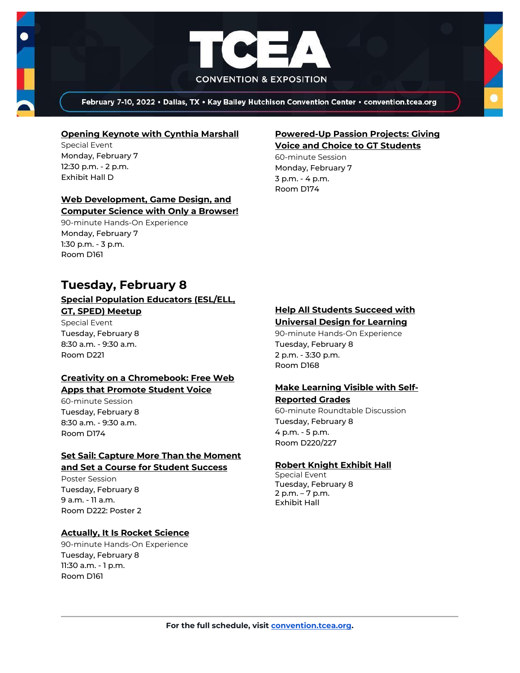

February 7-10, 2022 . Dallas, TX . Kay Bailey Hutchison Convention Center . convention.tcea.org

#### **[Opening Keynote with Cynthia Marshall](https://register.tcea.org/2022/session_list.cfm?session_key=5F0745B8-F04D-A206-2B64-0D4631096E34&session_date=Monday,%20Feb%2007,%202022)**

Special Event Monday, February 7 12:30 p.m. - 2 p.m. Exhibit Hall D

### **[Web Development, Game Design, and](https://register.tcea.org/2022/session_list.cfm?session_key=0245CD8A-F04D-A206-2B64-FED9E0F164AC&session_date=Monday,%20Feb%2007,%202022)  [Computer Science with Only a Browser!](https://register.tcea.org/2022/session_list.cfm?session_key=0245CD8A-F04D-A206-2B64-FED9E0F164AC&session_date=Monday,%20Feb%2007,%202022)**

90-minute Hands-On Experience Monday, February 7 1:30 p.m. - 3 p.m. Room D161

### **[Powered-Up Passion Projects: Giving](https://register.tcea.org/2022/session_list.cfm?session_key=023EC018-F04D-A206-2B64-B8B12243AF2F&session_date=Monday,%20Feb%2007,%202022)  [Voice and Choice to GT Students](https://register.tcea.org/2022/session_list.cfm?session_key=023EC018-F04D-A206-2B64-B8B12243AF2F&session_date=Monday,%20Feb%2007,%202022)**

60-minute Session Monday, February 7 3 p.m. - 4 p.m. Room D174

# **Tuesday, February 8**

### **[Special Population Educators \(ESL/ELL,](https://register.tcea.org/2022/session_list.cfm?session_key=5EB27693-F04D-A206-2B64-B0DA6FDC956B&session_date=Tuesday,%20Feb%2008,%202022)  [GT, SPED\) Meetup](https://register.tcea.org/2022/session_list.cfm?session_key=5EB27693-F04D-A206-2B64-B0DA6FDC956B&session_date=Tuesday,%20Feb%2008,%202022)**

Special Event Tuesday, February 8 8:30 a.m. - 9:30 a.m. Room D221

#### **[Creativity on a Chromebook: Free Web](https://register.tcea.org/2022/session_list.cfm?session_key=02349BE2-F04D-A206-2B64-E6C08C8E1D90&session_date=Tuesday,%20Feb%2008,%202022)  [Apps that Promote Student Voice](https://register.tcea.org/2022/session_list.cfm?session_key=02349BE2-F04D-A206-2B64-E6C08C8E1D90&session_date=Tuesday,%20Feb%2008,%202022)**

60-minute Session Tuesday, February 8 8:30 a.m. - 9:30 a.m. Room D174

### **[Set Sail: Capture More Than the Moment](https://register.tcea.org/2022/session_list.cfm?session_key=02404DED-F04D-A206-2B64-98D497DBFB21&session_date=Tuesday,%20Feb%2008,%202022)  [and Set a Course for Student Success](https://register.tcea.org/2022/session_list.cfm?session_key=02404DED-F04D-A206-2B64-98D497DBFB21&session_date=Tuesday,%20Feb%2008,%202022)**

Poster Session Tuesday, February 8 9 a.m. - 11 a.m. Room D222: Poster 2

### **[Actually, It Is Rocket Science](https://register.tcea.org/2022/session_list.cfm?session_key=0230535F-F04D-A206-2B64-5AB707DD89C6&session_date=Tuesday,%20Feb%2008,%202022)**

90-minute Hands-On Experience Tuesday, February 8 11:30 a.m. - 1 p.m. Room D161

### **[Help All Students Succeed with](https://register.tcea.org/2022/session_list.cfm?session_key=02399E17-F04D-A206-2B64-4EC003097211&session_date=Tuesday,%20Feb%2008,%202022)  [Universal Design for Learning](https://register.tcea.org/2022/session_list.cfm?session_key=02399E17-F04D-A206-2B64-4EC003097211&session_date=Tuesday,%20Feb%2008,%202022)**

90-minute Hands-On Experience Tuesday, February 8 2 p.m. - 3:30 p.m. Room D168

#### **[Make Learning Visible with Self-](https://register.tcea.org/2022/session_list.cfm?session_key=1F813208-F04D-A206-2B64-51214496D807&session_date=Tuesday,%20Feb%2008,%202022)[Reported Grades](https://register.tcea.org/2022/session_list.cfm?session_key=1F813208-F04D-A206-2B64-51214496D807&session_date=Tuesday,%20Feb%2008,%202022)**

60-minute Roundtable Discussion Tuesday, February 8 4 p.m. - 5 p.m. Room D220/227

### **[Robert Knight Exhibit Hall](https://register.tcea.org/2022/session_list.cfm?session_key=61CDF249-F04D-A206-2B64-15D6559D2515&session_date=Tuesday,%20Feb%2008,%202022)**

Special Event Tuesday, February 8 2 p.m. – 7 p.m. Exhibit Hall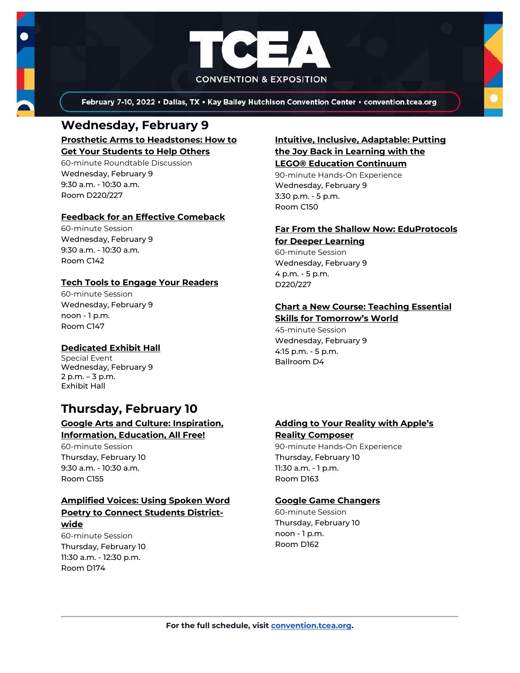

February 7-10, 2022 . Dallas, TX . Kay Bailey Hutchison Convention Center . convention.tcea.org

### **Wednesday, February 9 [Prosthetic Arms to Headstones: How to](https://register.tcea.org/2022/session_list.cfm?session_key=023F132F-F04D-A206-2B64-D2599462AD15&session_date=Wednesday,%20Feb%2009,%202022)**

**[Get Your Students to Help Others](https://register.tcea.org/2022/session_list.cfm?session_key=023F132F-F04D-A206-2B64-D2599462AD15&session_date=Wednesday,%20Feb%2009,%202022)**

60-minute Roundtable Discussion Wednesday, February 9 9:30 a.m. - 10:30 a.m. Room D220/227

### **[Feedback for an Effective Comeback](https://register.tcea.org/2022/session_list.cfm?session_key=0237997E-F04D-A206-2B64-422BE7ECA8D7&session_date=Wednesday,%20Feb%2009,%202022)**

60-minute Session Wednesday, February 9 9:30 a.m. - 10:30 a.m. Room C142

### **[Tech Tools to Engage Your Readers](https://register.tcea.org/2022/session_list.cfm?session_key=02422E1C-F04D-A206-2B64-7FF0E53D62D5&session_date=Wednesday,%20Feb%2009,%202022)**

60-minute Session Wednesday, February 9 noon - 1 p.m. Room C147

### **[Dedicated Exhibit Hall](https://register.tcea.org/2022/session_list.cfm?session_key=61CDD8E6-F04D-A206-2B64-74AAAD8173D7&session_date=Wednesday,%20Feb%2009,%202022)**

Special Event Wednesday, February 9 2 p.m. – 3 p.m. Exhibit Hall

# **Thursday, February 10**

### **[Google Arts and Culture: Inspiration,](https://register.tcea.org/2022/session_list.cfm?session_key=0238FAFB-F04D-A206-2B64-FD44A9619662&session_date=Thursday,%20Feb%2010,%202022)  [Information, Education, All Free!](https://register.tcea.org/2022/session_list.cfm?session_key=0238FAFB-F04D-A206-2B64-FD44A9619662&session_date=Thursday,%20Feb%2010,%202022)**

60-minute Session Thursday, February 10 9:30 a.m. - 10:30 a.m. Room C155

### **[Amplified Voices: Using Spoken Word](https://register.tcea.org/2022/session_list.cfm?session_key=02309352-F04D-A206-2B64-FAAC209EECF7&session_date=Thursday,%20Feb%2010,%202022)  [Poetry to Connect Students District-](https://register.tcea.org/2022/session_list.cfm?session_key=02309352-F04D-A206-2B64-FAAC209EECF7&session_date=Thursday,%20Feb%2010,%202022)**

**[wide](https://register.tcea.org/2022/session_list.cfm?session_key=02309352-F04D-A206-2B64-FAAC209EECF7&session_date=Thursday,%20Feb%2010,%202022)**

60-minute Session Thursday, February 10 11:30 a.m. - 12:30 p.m. Room D174

### **[Intuitive, Inclusive, Adaptable: Putting](https://register.tcea.org/2022/session_list.cfm?session_key=023BB930-F04D-A206-2B64-271905DED2CA&session_date=Wednesday,%20Feb%2009,%202022)  [the Joy Back in Learning with the](https://register.tcea.org/2022/session_list.cfm?session_key=023BB930-F04D-A206-2B64-271905DED2CA&session_date=Wednesday,%20Feb%2009,%202022)  [LEGO® Education Continuum](https://register.tcea.org/2022/session_list.cfm?session_key=023BB930-F04D-A206-2B64-271905DED2CA&session_date=Wednesday,%20Feb%2009,%202022)**

90-minute Hands-On Experience Wednesday, February 9 3:30 p.m. - 5 p.m. Room C150

### **[Far From the Shallow Now: EduProtocols](https://register.tcea.org/2022/session_list.cfm?session_key=023789AC-F04D-A206-2B64-500D55BFEC32&session_date=Wednesday,%20Feb%2009,%202022)  [for Deeper Learning](https://register.tcea.org/2022/session_list.cfm?session_key=023789AC-F04D-A206-2B64-500D55BFEC32&session_date=Wednesday,%20Feb%2009,%202022)**

60-minute Session Wednesday, February 9 4 p.m. - 5 p.m. D220/227

### **[Chart a New Course: Teaching Essential](https://register.tcea.org/2022/session_list.cfm?session_key=02331D54-F04D-A206-2B64-90AECBFFC4F4&session_date=Wednesday,%20Feb%2009,%202022)**

**Skills for [Tomorrow's World](https://register.tcea.org/2022/session_list.cfm?session_key=02331D54-F04D-A206-2B64-90AECBFFC4F4&session_date=Wednesday,%20Feb%2009,%202022)** 45-minute Session Wednesday, February 9 4:15 p.m. - 5 p.m. Ballroom D4

### **[Adding to Your Reality with Apple's](https://register.tcea.org/2022/session_list.cfm?session_key=02305F04-F04D-A206-2B64-40EA36D88C4F&session_date=Thursday,%20Feb%2010,%202022)  [Reality Composer](https://register.tcea.org/2022/session_list.cfm?session_key=02305F04-F04D-A206-2B64-40EA36D88C4F&session_date=Thursday,%20Feb%2010,%202022)**

90-minute Hands-On Experience Thursday, February 10 11:30 a.m. - 1 p.m. Room D163

### **[Google Game Changers](https://register.tcea.org/2022/session_list.cfm?session_key=023912F7-F04D-A206-2B64-96427A352CB1&session_date=Thursday,%20Feb%2010,%202022)**

60-minute Session Thursday, February 10 noon - 1 p.m. Room D162

**For the full schedule, visit [convention.tcea.org.](https://convention.tcea.org/)**